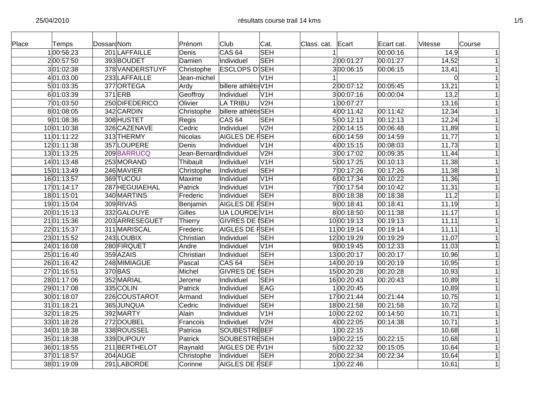| Place | Temps       | DossardNom |                 | Prénom                 | Club                  | Cat.                    | Class. cat. | Ecart       | Ecart cat. | Vitesse     | Course         |
|-------|-------------|------------|-----------------|------------------------|-----------------------|-------------------------|-------------|-------------|------------|-------------|----------------|
|       | 100:56:23   |            | 201 LAFFAILLE   | Denis                  | CAS64                 | <b>SEH</b>              |             |             | 00:00:16   | 14,9        |                |
|       | 200:57:50   |            | 393BOUDET       | Damien                 | Individuel            | <b>SEH</b>              |             | 200:01:27   | 00:01:27   | 14,52       |                |
|       | 301:02:38   |            | 378 VANDERSTUYF | Christophe             | <b>ESCLOPS D'SEH</b>  |                         |             | 300:06:15   | 00:06:15   | 13,41       |                |
|       | 401.03.00   |            | 233 LAFFAILLE   | Jean-michel            |                       | V <sub>1</sub> H        |             |             |            | $\mathbf 0$ |                |
|       | 501:03:35   |            | 377 ORTEGA      | Ardy                   | billere athlétisV1H   |                         |             | 200:07:12   | 00:05:45   | 13,21       |                |
|       | 601:03:39   |            | 371 ERB         | Geoffroy               | Individuel            | V <sub>1</sub> H        |             | 300:07:16   | 00:00:04   | 13,2        | 11             |
|       | 701:03:50   |            | 250 DIFEDERICO  | Olivier                | <b>LA TRIBU</b>       | V2H                     |             | 100:07:27   |            | 13,16       | 11             |
|       | 801:08:05   |            | 342 CARDIN      | Christophe             | billere athlétisSEH   |                         |             | 400:11:42   | 00:11:42   | 12,34       | 11             |
|       | 9 01:08:36  |            | 308 HUSTET      | Regis                  | CAS <sub>64</sub>     | <b>SEH</b>              |             | 5 00:12:13  | 00:12:13   | 12,24       |                |
|       | 1001:10:38  |            | 326 CAZENAVE    | Cedric                 | Individuel            | V <sub>2H</sub>         |             | 200:14:15   | 00:06:48   | 11,89       |                |
|       | 11 01:11:22 |            | 313 THERMY      | Nicolas                | <b>AIGLES DE FSEH</b> |                         |             | 600:14:59   | 00:14:59   | 11,77       |                |
|       | 1201:11:38  |            | 357LOUPERE      | Denis                  | Individuel            | V <sub>1</sub> H        |             | 400:15:15   | 00:08:03   | 11,73       |                |
|       | 1301:13:25  |            | 209BARRUCQ      | Jean-BernardIndividuel |                       | $\overline{\text{V2H}}$ |             | 300:17:02   | 00:09:35   | 11,44       |                |
|       | 1401:13:48  |            | 253 MORAND      | Thibault               | Individuel            | V1H                     |             | 500:17:25   | 00:10:13   | 11,38       | 11             |
|       | 1501:13:49  |            | 246 MAVIER      | Christophe             | Individuel            | <b>SEH</b>              |             | 700:17:26   | 00:17:26   | 11,38       | 11             |
|       | 1601:13:57  |            | 369 TUCOU       | Maxime                 | Individuel            | V <sub>1</sub> H        |             | 600:17:34   | 00:10:22   | 11,36       | 11             |
|       | 1701:14:17  |            | 287 HEGUIAEHAL  | Patrick                | Individuel            | V1H                     |             | 700:17:54   | 00:10:42   | 11,31       |                |
|       | 1801:15:01  |            | 340 MARTINS     | Frederic               | Individuel            | <b>SEH</b>              |             | 800:18:38   | 00:18:38   | 11,2        |                |
|       | 1901:15:04  |            | 309 RIVAS       | Benjamin               | <b>AIGLES DE FSEH</b> |                         |             | 900:18:41   | 00:18:41   | 11,19       |                |
|       | 2001:15:13  |            | 332 GALOUYE     | Gilles                 | <b>UA LOURDE V1H</b>  |                         |             | 800:18:50   | 00:11:38   | 11,17       |                |
|       | 2101:15:36  |            | 203 ARRESEGUET  | <b>Thierry</b>         | <b>GIVRES DE ISEH</b> |                         |             | 1000:19:13  | 00:19:13   | 11,11       |                |
|       | 2201:15:37  |            | 311 MARISCAL    | Frederic               | AIGLES DE FSEH        |                         |             | 11 00:19:14 | 00:19:14   | 11,11       |                |
|       | 2301:15:52  |            | 243 LOUBIX      | Christian              | <b>Individuel</b>     | $ $ SEH                 |             | 12 00:19:29 | 00:19:29   | 11,07       | 11             |
|       | 2401:16:08  |            | 280 FIRQUET     | Andre                  | Individuel            | V <sub>1</sub> H        |             | 9 00:19:45  | 00:12:33   | 11,03       |                |
|       | 2501:16:40  |            | 359 AZAIS       | Christian              | Individuel            | <b>SEH</b>              |             | 1300:20:17  | 00:20:17   | 10,96       | 11             |
|       | 2601:16:42  |            | 248 MIMIAGUE    | Pascal                 | <b>CAS 64</b>         | <b>SEH</b>              |             | 14 00:20:19 | 00:20:19   | 10,95       |                |
|       | 2701:16:51  |            | 370 BAS         | Michel                 | <b>GIVRES DE ISEH</b> |                         |             | 1500:20:28  | 00:20:28   | 10,93       |                |
|       | 2801:17:06  |            | 352 MARIAL      | Jerome                 | Individuel            | <b>SEH</b>              |             | 1600:20:43  | 00:20:43   | 10,89       |                |
|       | 2901:17:08  |            | 335 COLIN       | <b>Patrick</b>         | <b>Individuel</b>     | EAG                     |             | 100:20:45   |            | 10,89       |                |
|       | 3001:18:07  |            | 226 COUSTAROT   | Armand                 | Individuel            | <b>SEH</b>              |             | 1700:21:44  | 00:21:44   | 10,75       | 11             |
|       | 3101:18:21  |            | 365JUNQUA       | Cedric                 | Individuel            | $ $ SEH                 |             | 1800:21:58  | 00:21:58   | 10,72       | 11             |
|       | 3201:18:25  |            | 392 MARTY       | Alain                  | Individuel            | V <sub>1</sub> H        |             | 1000:22:02  | 00:14:50   | 10,71       |                |
|       | 3301:18:28  |            | 272 DOUBEL      | Francois               | Individuel            | V <sub>2</sub> H        |             | 400:22:05   | 00:14:38   | 10,71       | 11             |
|       | 34 01:18:38 |            | 338 ROUSSEL     | Patricia               | <b>SOUBESTREBEF</b>   |                         |             | 00:22:15    |            | 10,68       | 1 <sup>1</sup> |
|       | 3501:18:38  |            | 339 DUPOUY      | Patrick                | SOUBESTRESEH          |                         |             | 1900:22:15  | 00:22:15   | 10,68       |                |
|       | 3601:18:55  |            | 211 BERTHELOT   | Raynald                | AIGLES DE FV1H        |                         |             | 500:22:32   | 00:15:05   | 10,64       |                |
|       | 37 01:18:57 |            | 204 AUGE        | Christophe             | Individuel            | <b>SEH</b>              |             | 2000:22:34  | 00:22:34   | 10,64       |                |
|       | 3801:19:09  |            | 291 LABORDE     | Corinne                | <b>AIGLES DE FSEF</b> |                         |             | 100:22:46   |            | 10,61       |                |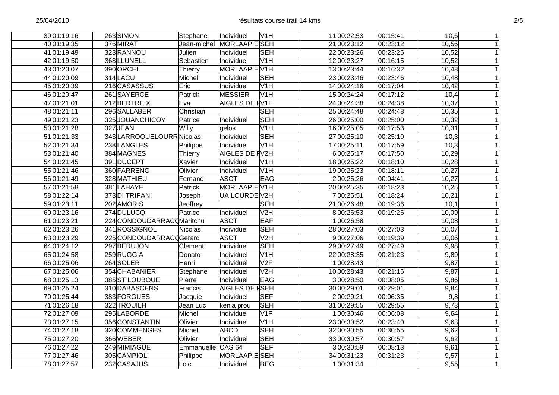| 3901:19:16  | 263 SIMON                 | Stephane          | Individuel            | V1H                     | 11 00:22:53 | 00:15:41 | 10,6  | 1            |
|-------------|---------------------------|-------------------|-----------------------|-------------------------|-------------|----------|-------|--------------|
| 40 01:19:35 | 376 MIRAT                 | Jean-michel       | MORLAAPIEISEH         |                         | 21 00:23:12 | 00:23:12 | 10,56 | $\mathbf{1}$ |
| 41 01:19:49 | 323 RANNOU                | Julien            | Individuel            | <b>SEH</b>              | 22 00:23:26 | 00:23:26 | 10,52 | $\mathbf{1}$ |
| 4201:19:50  | 368LLUNELL                | Sebastien         | Individuel            | V <sub>1H</sub>         | 1200:23:27  | 00:16:15 | 10,52 | 1            |
| 4301:20:07  | 390 ORCEL                 | Thierry           | MORLAAPIEIV1H         |                         | 1300:23:44  | 00:16:32 | 10,48 | 1            |
| 44 01:20:09 | 314LACU                   | Michel            | Individuel            | <b>SEH</b>              | 23 00:23:46 | 00:23:46 | 10,48 | $\mathbf{1}$ |
| 45 01:20:39 | 216 CASASSUS              | Eric              | Individuel            | V1H                     | 14 00:24:16 | 00:17:04 | 10,42 | $\mathbf{1}$ |
| 46 01:20:47 | 261SAYERCE                | Patrick           | <b>MESSIER</b>        | V1H                     | 1500:24:24  | 00:17:12 | 10,4  | $\mathbf{1}$ |
| 47 01:21:01 | 212BERTREIX               | Eva               | AIGLES DE FV1F        |                         | 24 00:24:38 | 00:24:38 | 10,37 | 1            |
| 48 01:21:11 | 296 SALLABER              | Christian         |                       | <b>SEH</b>              | 25 00:24:48 | 00:24:48 | 10,35 | $\mathbf{1}$ |
| 4901:21:23  | 325JOUANCHICOY            | Patrice           | Individuel            | <b>SEH</b>              | 26 00:25:00 | 00:25:00 | 10,32 | $\mathbf{1}$ |
| 5001:21:28  | 327JEAN                   | Willy             | gelos                 | V <sub>1</sub> H        | 1600:25:05  | 00:17:53 | 10,31 | $\mathbf{1}$ |
| 51 01:21:33 | 343 LARROQUELOURR Nicolas |                   | Individuel            | <b>SEH</b>              | 27 00:25:10 | 00:25:10 | 10,3  | $\mathbf{1}$ |
| 5201:21:34  | 238LANGLES                | Philippe          | Individuel            | V1H                     | 17 00:25:11 | 00:17:59 | 10,3  | 1            |
| 5301:21:40  | 384 MAGNES                | <b>Thierry</b>    | AIGLES DE FV2H        |                         | 600:25:17   | 00:17:50 | 10,29 | 1            |
| 54 01:21:45 | 391 DUCEPT                | Xavier            | Individuel            | $\overline{\text{V1H}}$ | 1800:25:22  | 00:18:10 | 10,28 | $\mathbf{1}$ |
| 5501:21:46  | 360 FARRENG               | Olivier           | Individuel            | V1H                     | 1900:25:23  | 00:18:11 | 10,27 | $\mathbf{1}$ |
| 56 01:21:49 | 328 MATHIEU               | Fernand-          | <b>ASCT</b>           | EAG                     | 200:25:26   | 00:04:41 | 10,27 | $\mathbf{1}$ |
| 5701:21:58  | 381 LAHAYE                | Patrick           | MORLAAPIEIV1H         |                         | 20 00:25:35 | 00:18:23 | 10,25 | $\mathbf{1}$ |
| 5801:22:14  | 373 DI TRIPANI            | Joseph            | UA LOURDE V2H         |                         | 700:25:51   | 00:18:24 | 10,21 | 1            |
| 5901:23:11  | 202 AMORIS                | Jeoffrey          |                       | <b>SEH</b>              | 21 00:26:48 | 00:19:36 | 10,1  | 1            |
| 6001:23:16  | 274 DULUCQ                | Patrice           | Individuel            | V2H                     | 800:26:53   | 00:19:26 | 10,09 | $\mathbf{1}$ |
| 6101:23:21  | 224 CONDOUDARRACOMaritchu |                   | <b>ASCT</b>           | EAF                     | 100:26:58   |          | 10,08 | $\mathbf{1}$ |
| 6201:23:26  | 341 ROSSIGNOL             | Nicolas           | Individuel            | <b>SEH</b>              | 28 00:27:03 | 00:27:03 | 10,07 | $\mathbf{1}$ |
| 6301:23:29  | 225 CONDOUDARRACGGerard   |                   | <b>ASCT</b>           | V2H                     | 900:27:06   | 00:19:39 | 10,06 | $\mathbf{1}$ |
| 64 01:24:12 | 297 BERUJON               | Clement           | Individuel            | <b>SEH</b>              | 29 00:27:49 | 00:27:49 | 9,98  | 1            |
| 6501:24:58  | 259RUGGIA                 | Donato            | Individuel            | V <sub>1</sub> H        | 22 00:28:35 | 00:21:23 | 9,89  | $\mathbf{1}$ |
| 6601:25:06  | 264 SOLER                 | Henri             | Individuel            | V2F                     | 100:28:43   |          | 9,87  | $\mathbf{1}$ |
| 6701:25:06  | 354 CHABANIER             | Stephane          | Individuel            | V <sub>2</sub> H        | 1000:28:43  | 00:21:16 | 9,87  | $\mathbf{1}$ |
| 6801:25:13  | 385 ST LOUBOUE            | Pierre            | Individuel            | EAG                     | 300:28:50   | 00:08:05 | 9,86  | $\mathbf{1}$ |
| 6901:25:24  | 310 DABASCENS             | Francis           | <b>AIGLES DE FSEH</b> |                         | 30 00:29:01 | 00:29:01 | 9,84  | $\mathbf{1}$ |
| 7001:25:44  | 383 FORGUES               | Jacquie           | Individuel            | SEF                     | 200:29:21   | 00:06:35 | 9,8   | 1            |
| 7101:26:18  | 322 TROUILH               | Jean Luc          | kenia prou            | <b>SEH</b>              | 31 00:29:55 | 00:29:55 | 9,73  | $\mathbf{1}$ |
| 7201:27:09  | 295 LABORDE               | Michel            | Individuel            | V1F                     | 100:30:46   | 00:06:08 | 9,64  | $\mathbf{1}$ |
| 7301:27:15  | 356 CONSTANTIN            | Olivier           | Individuel            | V1H                     | 23 00:30:52 | 00:23:40 | 9,63  | $\mathbf{1}$ |
| 7401:27:18  | 320 COMMENGES             | Michel            | <b>ABCD</b>           | <b>SEH</b>              | 3200:30:55  | 00:30:55 | 9,62  | $\mathbf{1}$ |
| 7501:27:20  | 366 WEBER                 | Olivier           | Individuel            | <b>SEH</b>              | 3300:30:57  | 00:30:57 | 9,62  | $\mathbf{1}$ |
| 7601:27:22  | 249 MIMIAGUE              | Emmanuelle CAS 64 |                       | SEF                     | 300:30:59   | 00:08:13 | 9,61  | $\mathbf{1}$ |
| 77 01:27:46 | 305 CAMPIOLI              | Philippe          | MORLAAPIEISEH         |                         | 34 00:31:23 | 00:31:23 | 9,57  | $\mathbf{1}$ |
| 78 01:27:57 | 232 CASAJUS               | Loic              | Individuel            | <b>BEG</b>              | 100:31:34   |          | 9,55  | $\mathbf{1}$ |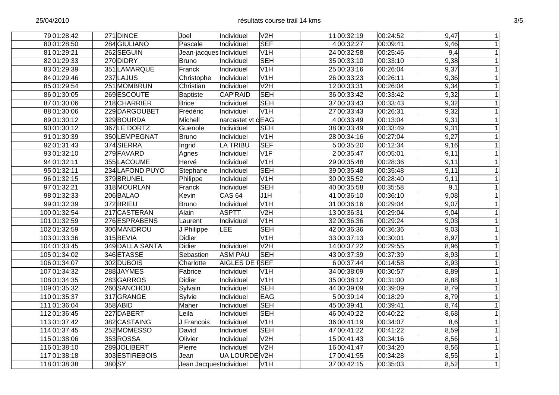| 7901:28:42   |        | 271 DINCE       | Joel                    | Individuel        | V <sub>2H</sub>         | 11 00:32:19 | 00:24:52 | 9,47<br>11             |
|--------------|--------|-----------------|-------------------------|-------------------|-------------------------|-------------|----------|------------------------|
| 8001:28:50   |        | 284GIULIANO     | Pascale                 | Individuel        | <b>SEF</b>              | 400:32:27   | 00:09:41 | 9,46                   |
| 8101:29:21   |        | 262SEGUIN       | Jean-jacques Individuel |                   | V <sub>1</sub> H        | 24 00:32:58 | 00:25:46 | 9,4                    |
| 8201:29:33   |        | 270 DIDRY       | Bruno                   | Individuel        | <b>SEH</b>              | 35 00:33:10 | 00:33:10 | 9,38                   |
| 8301:29:39   |        | 351 LAMARQUE    | Franck                  | Individuel        | V <sub>1</sub> H        | 25 00:33:16 | 00:26:04 | 9,37<br>11             |
| 84 01:29:46  |        | 237 LAJUS       | Christophe              | Individuel        | V <sub>1</sub> H        | 26 00:33:23 | 00:26:11 | 9,36                   |
| 8501:29:54   |        | 251 MOMBRUN     | Christian               | Individuel        | V2H                     | 1200:33:31  | 00:26:04 | 9,34                   |
| 8601:30:05   |        | 269ESCOUTE      | Baptiste                | <b>CAP'RAID</b>   | <b>SEH</b>              | 36 00:33:42 | 00:33:42 | 9,32                   |
| 87 01:30:06  |        | 218 CHARRIER    | <b>Brice</b>            | Individuel        | <b>SEH</b>              | 37 00:33:43 | 00:33:43 | 9,32                   |
| 8801:30:06   |        | 229DARGOUBET    | Frédéric                | Individuel        | V1H                     | 27 00:33:43 | 00:26:31 | 9,32                   |
| 8901:30:12   |        | 329BOURDA       | Michell                 | narcastet vt cEAG |                         | 400:33:49   | 00:13:04 | 9,31                   |
| 90 01:30:12  |        | 367LE DORTZ     | Guenole                 | Individuel        | <b>SEH</b>              | 38 00:33:49 | 00:33:49 | 9,31                   |
| 91 01:30:39  |        | 350 LEMPEGNAT   | Bruno                   | Individuel        | V <sub>1</sub> H        | 28 00:34:16 | 00:27:04 | 9,27                   |
| 9201:31:43   |        | 374 SIERRA      | Ingrid                  | <b>LA TRIBU</b>   | <b>SEF</b>              | 500:35:20   | 00:12:34 | 9,16                   |
| 9301:32:10   |        | 279 FAVARD      | Agnes                   | Individuel        | $\overline{\text{V1F}}$ | 200:35:47   | 00:05:01 | 9,11                   |
| 9401:32:11   |        | 355 LACOUME     | Hervé                   | Individuel        | V <sub>1</sub> H        | 29 00:35:48 | 00:28:36 | 9,11                   |
| 95 01:32:11  |        | 234 LAFOND PUYO | Stephane                | Individuel        | <b>SEH</b>              | 3900:35:48  | 00:35:48 | 9,11                   |
| 96 01:32:15  |        | 379BRUNEL       | Philippe                | Individuel        | V <sub>1</sub> H        | 30 00:35:52 | 00:28:40 | 9,11                   |
| 97 01:32:21  |        | 318 MOURLAN     | Franck                  | Individuel        | <b>SEH</b>              | 40 00:35:58 | 00:35:58 | 9,1<br>11              |
| 98 01:32:33  |        | 206BALAO        | Kevin                   | CAS <sub>64</sub> | J1H                     | 41 00:36:10 | 00:36:10 | 9,08<br>1              |
| 9901:32:39   |        | 372BRIEU        | Bruno                   | Individuel        | V <sub>1</sub> H        | 31 00:36:16 | 00:29:04 | 9,07                   |
| 10001:32:54  |        | 217 CASTERAN    | Alain                   | <b>ASPTT</b>      | V2H                     | 1300:36:31  | 00:29:04 | 9,04                   |
| 101 01:32:59 |        | 276 ESPRABENS   | Laurent                 | Individuel        | V <sub>1</sub> H        | 32 00:36:36 | 00:29:24 | 9,03                   |
| 10201:32:59  |        | 306 MANDROU     | $\overline{J}$ Philippe | LEE               | <b>SEH</b>              | 42 00:36:36 | 00:36:36 | 9,03                   |
| 10301:33:36  |        | 315BEVIA        | Didier                  |                   | V1H                     | 3300:37:13  | 00:30:01 | 8,97                   |
| 104 01:33:45 |        | 349 DALLA SANTA | Didier                  | Individuel        | V2H                     | 14 00:37:22 | 00:29:55 | 8,96<br>1 <sup>1</sup> |
| 10501:34:02  |        | 346 ETASSE      | Sebastien               | <b>ASM PAU</b>    | <b>SEH</b>              | 4300:37:39  | 00:37:39 | 8,93<br>1              |
| 10601:34:07  |        | 302 DUBOIS      | Charlotte               | AIGLES DE FSEF    |                         | 600:37:44   | 00:14:58 | 8,93                   |
| 10701:34:32  |        | 288JAYMES       | Fabrice                 | Individuel        | V <sub>1</sub> H        | 34 00:38:09 | 00:30:57 | 8,89                   |
| 10801:34:35  |        | 283GARROS       | Didier                  | Individuel        | V <sub>1H</sub>         | 35 00:38:12 | 00:31:00 | 8,88                   |
| 10901:35:32  |        | 260 SANCHOU     | Sylvain                 | Individuel        | <b>SEH</b>              | 44 00:39:09 | 00:39:09 | 8,79                   |
| 11001:35:37  |        | 317GRANGE       | Sylvie                  | Individuel        | EAG                     | 500:39:14   | 00:18:29 | 8,79                   |
| 11101:36:04  |        | 358 ABID        | Maher                   | Individuel        | <b>SEH</b>              | 45 00:39:41 | 00:39:41 | 8,74<br>1 <sup>1</sup> |
| 11201:36:45  |        | 227 DABERT      | Leila                   | Individuel        | <b>SEH</b>              | 46 00:40:22 | 00:40:22 | 8,68<br>11             |
| 11301:37:42  |        | 382 CASTAING    | J Francois              | Individuel        | V <sub>1</sub> H        | 36 00:41:19 | 00:34:07 | 8,6<br>1 <sup>1</sup>  |
| 11401:37:45  |        | 252MOMESSO      | David                   | Individuel        | <b>SEH</b>              | 47 00:41:22 | 00:41:22 | 8,59                   |
| 11501:38:06  |        | 353 ROSSA       | Olivier                 | Individuel        | V2H                     | 15 00:41:43 | 00:34:16 | 8,56<br>11             |
| 11601:38:10  |        | 289JOLIBERT     | Pierre                  | Individuel        | V2H                     | 1600:41:47  | 00:34:20 | 8,56                   |
| 11701:38:18  |        | 303 ESTIREBOIS  | Jean                    | UA LOURDE V2H     |                         | 17 00:41:55 | 00:34:28 | 8,55                   |
| 11801:38:38  | 380 SY |                 | Jean Jacques Individuel |                   | V1H                     | 37 00:42:15 | 00:35:03 | 8,52<br>11             |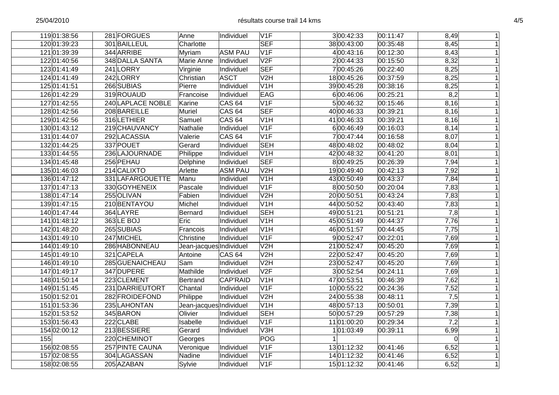| 11901:38:56  | 281 FORGUES       | Anne                    | Individuel           | VIF                     | 300:42:33   | 00:11:47 | 8,49             | 1            |
|--------------|-------------------|-------------------------|----------------------|-------------------------|-------------|----------|------------------|--------------|
| 12001:39:23  | 301 BAILLEUL      | Charlotte               |                      | <b>SEF</b>              | 38 00:43:00 | 00:35:48 | 8,45             | $\mathbf{1}$ |
| 12101:39:39  | 344 ARRIBE        | Myriam                  | <b>ASM PAU</b>       | V <sub>1F</sub>         | 400:43:16   | 00:12:30 | 8,43             | $\mathbf{1}$ |
| 12201:40:56  | 348 DALLA SANTA   | Marie Anne              | Individuel           | V <sub>2F</sub>         | 200:44:33   | 00:15:50 | 8,32             | 1            |
| 12301:41:49  | 241 LORRY         | Virginie                | Individuel           | <b>SEF</b>              | 700:45:26   | 00:22:40 | 8,25             | 1            |
| 124 01:41:49 | 242 LORRY         | Christian               | <b>ASCT</b>          | V2H                     | 1800:45:26  | 00:37:59 | 8,25             | $\mathbf{1}$ |
| 12501:41:51  | 266 SUBIAS        | Pierre                  | Individuel           | V1H                     | 3900:45:28  | 00:38:16 | 8,25             | $\mathbf{1}$ |
| 12601:42:29  | 319ROUAUD         | Francoise               | Individuel           | EAG                     | 600:46:06   | 00:25:21 | 8,2              | $\mathbf{1}$ |
| 12701:42:55  | 240 LAPLACE NOBLE | Karine                  | CAS <sub>64</sub>    | V1F                     | 500:46:32   | 00:15:46 | 8,16             | $\mathbf{1}$ |
| 12801:42:56  | 208BAREILLE       | Muriel                  | $\overline{C}$ AS 64 | <b>SEF</b>              | 40 00:46:33 | 00:39:21 | 8,16             | 1            |
| 12901:42:56  | 316LETHIER        | Samuel                  | CAS <sub>64</sub>    | V <sub>1</sub> H        | 41 00:46:33 | 00:39:21 | 8,16             | $\mathbf{1}$ |
| 13001:43:12  | 219 CHAUVANCY     | Nathalie                | Individuel           | V <sub>1F</sub>         | 600:46:49   | 00:16:03 | 8,14             | $\mathbf{1}$ |
| 131 01:44:07 | 292 LACASSIA      | Valerie                 | CAS64                | V <sub>1F</sub>         | 700:47:44   | 00:16:58 | 8,07             | $\mathbf{1}$ |
| 13201:44:25  | 337 POUET         | Gerard                  | Individuel           | <b>SEH</b>              | 48 00:48:02 | 00:48:02 | 8,04             | $\mathbf{1}$ |
| 13301:44:55  | 236 LAJOURNADE    | Philippe                | Individuel           | V <sub>1</sub> H        | 42 00:48:32 | 00:41:20 | 8,01             | $\mathbf{1}$ |
| 134 01:45:48 | 256 PEHAU         | Delphine                | Individuel           | SEF                     | 800:49:25   | 00:26:39 | 7,94             | 1            |
| 13501:46:03  | 214 CALIXTO       | Arlette                 | <b>ASM PAU</b>       | V2H                     | 1900:49:40  | 00:42:13 | 7,92             | $\mathbf{1}$ |
| 13601:47:12  | 331 LAFARGOUETTE  | Manu                    | Individuel           | V <sub>1</sub> H        | 43 00:50:49 | 00:43:37 | 7,84             | 1            |
| 13701:47:13  | 330 GOYHENEIX     | Pascale                 | Individuel           | $\overline{\text{V1F}}$ | 800:50:50   | 00:20:04 | 7,83             | $\mathbf{1}$ |
| 13801:47:14  | 255 OLIVAN        | Fabien                  | Individuel           | V <sub>2</sub> H        | 20 00:50:51 | 00:43:24 | 7,83             | $\mathbf{1}$ |
| 13901:47:15  | 210BENTAYOU       | Michel                  | Individuel           | V1H                     | 44 00:50:52 | 00:43:40 | 7,83             | $\mathbf{1}$ |
| 140 01:47:44 | 364 LAYRE         | Bernard                 | Individuel           | <b>SEH</b>              | 49 00:51:21 | 00:51:21 | $\overline{7,8}$ | 1            |
| 141 01:48:12 | 363LE BOJ         | Eric                    | Individuel           | V <sub>1</sub> H        | 45 00:51:49 | 00:44:37 | 7,76             | 1            |
| 14201:48:20  | 265 SUBIAS        | Francois                | Individuel           | V <sub>1</sub> H        | 46 00:51:57 | 00:44:45 | 7,75             | $\mathbf{1}$ |
| 14301:49:10  | 247 MICHEL        | Christine               | Individuel           | V1F                     | 900:52:47   | 00:22:01 | 7,69             | $\mathbf{1}$ |
| 144 01:49:10 | 286 HABONNEAU     | Jean-jacques Individuel |                      | V2H                     | 21 00:52:47 | 00:45:20 | 7,69             | $\mathbf{1}$ |
| 14501:49:10  | 321 CAPELA        | Antoine                 | CAS <sub>64</sub>    | V2H                     | 22 00:52:47 | 00:45:20 | 7,69             | $\mathbf{1}$ |
| 14601:49:10  | 285GUENAICHEAU    | Sam                     | Individuel           | V2H                     | 23 00:52:47 | 00:45:20 | 7,69             | $\mathbf{1}$ |
| 147 01:49:17 | 347 DUPERE        | Mathilde                | Individuel           | V2F                     | 300:52:54   | 00:24:11 | 7,69             | $\mathbf{1}$ |
| 14801:50:14  | 223 CLEMENT       | Bertrand                | CAP'RAID             | V <sub>1</sub> H        | 47 00:53:51 | 00:46:39 | 7,62             | $\mathbf{1}$ |
| 14901:51:45  | 231 DARRIEUTORT   | Chantal                 | Individuel           | $\overline{\text{V1F}}$ | 1000:55:22  | 00:24:36 | 7,52             | 1            |
| 15001:52:01  | 282 FROIDEFOND    | Philippe                | Individuel           | V2H                     | 24 00:55:38 | 00:48:11 | 7,5              | $\mathbf{1}$ |
| 15101:53:36  | 235 LAHONTAN      | Jean-jacques Individuel |                      | V <sub>1</sub> H        | 48 00:57:13 | 00:50:01 | 7,39             | 1            |
| 15201:53:52  | 345 BARON         | Olivier                 | Individuel           | <b>SEH</b>              | 50 00:57:29 | 00:57:29 | 7,38             | $\mathbf{1}$ |
| 15301:56:43  | 222CLABE          | Isabelle                | Individuel           | V <sub>1F</sub>         | 1101:00:20  | 00:29:34 | 7,2              | $\mathbf{1}$ |
| 154 02:00:12 | 213BESSIERE       | Gerard                  | Individuel           | V3H                     | 101:03:49   | 00:39:11 | 6,99             | 1            |
| 155          | 220 CHEMINOT      | Georges                 |                      | POG                     |             |          | $\overline{0}$   | $\mathbf{1}$ |
| 15602:08:55  | 257 PINTE CAUNA   | Veronique               | Individuel           | $\overline{\text{V1F}}$ | 1301:12:32  | 00:41:46 | 6,52             | $\mathbf{1}$ |
| 15702:08:55  | 304 LAGASSAN      | Nadine                  | Individuel           | V <sub>1F</sub>         | 1401:12:32  | 00:41:46 | 6,52             | 1            |
| 15802:08:55  | 205 AZABAN        | Sylvie                  | Individuel           | V <sub>1F</sub>         | 1501:12:32  | 00:41:46 | 6,52             | $\mathbf{1}$ |